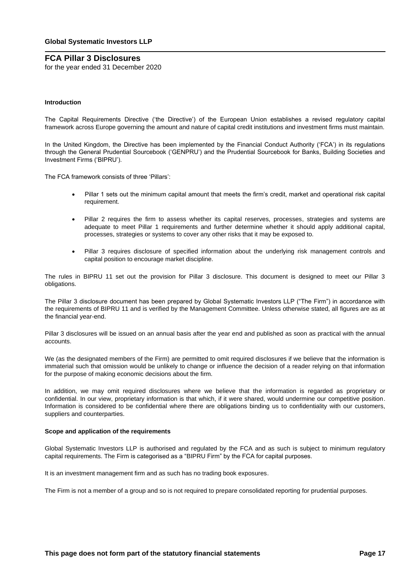for the year ended 31 December 2020

### **Introduction**

The Capital Requirements Directive ('the Directive') of the European Union establishes a revised regulatory capital framework across Europe governing the amount and nature of capital credit institutions and investment firms must maintain.

In the United Kingdom, the Directive has been implemented by the Financial Conduct Authority ('FCA') in its regulations through the General Prudential Sourcebook ('GENPRU') and the Prudential Sourcebook for Banks, Building Societies and Investment Firms ('BIPRU').

The FCA framework consists of three 'Pillars':

- Pillar 1 sets out the minimum capital amount that meets the firm's credit, market and operational risk capital requirement.
- Pillar 2 requires the firm to assess whether its capital reserves, processes, strategies and systems are adequate to meet Pillar 1 requirements and further determine whether it should apply additional capital, processes, strategies or systems to cover any other risks that it may be exposed to.
- Pillar 3 requires disclosure of specified information about the underlying risk management controls and capital position to encourage market discipline.

The rules in BIPRU 11 set out the provision for Pillar 3 disclosure. This document is designed to meet our Pillar 3 obligations.

The Pillar 3 disclosure document has been prepared by Global Systematic Investors LLP ("The Firm") in accordance with the requirements of BIPRU 11 and is verified by the Management Committee. Unless otherwise stated, all figures are as at the financial year-end.

Pillar 3 disclosures will be issued on an annual basis after the year end and published as soon as practical with the annual accounts.

We (as the designated members of the Firm) are permitted to omit required disclosures if we believe that the information is immaterial such that omission would be unlikely to change or influence the decision of a reader relying on that information for the purpose of making economic decisions about the firm.

In addition, we may omit required disclosures where we believe that the information is regarded as proprietary or confidential. In our view, proprietary information is that which, if it were shared, would undermine our competitive position. Information is considered to be confidential where there are obligations binding us to confidentiality with our customers, suppliers and counterparties.

### **Scope and application of the requirements**

Global Systematic Investors LLP is authorised and regulated by the FCA and as such is subject to minimum regulatory capital requirements. The Firm is categorised as a "BIPRU Firm" by the FCA for capital purposes.

It is an investment management firm and as such has no trading book exposures.

The Firm is not a member of a group and so is not required to prepare consolidated reporting for prudential purposes.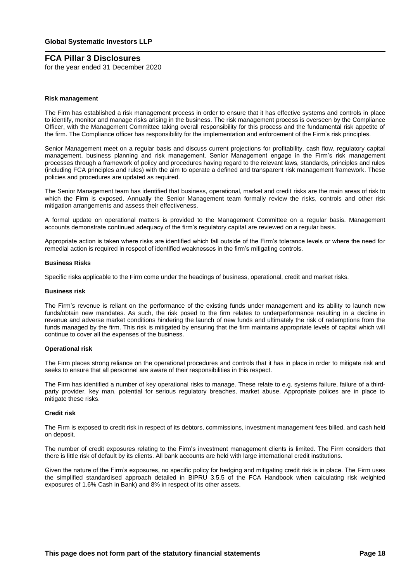for the year ended 31 December 2020

### **Risk management**

The Firm has established a risk management process in order to ensure that it has effective systems and controls in place to identify, monitor and manage risks arising in the business. The risk management process is overseen by the Compliance Officer, with the Management Committee taking overall responsibility for this process and the fundamental risk appetite of the firm. The Compliance officer has responsibility for the implementation and enforcement of the Firm's risk principles.

Senior Management meet on a regular basis and discuss current projections for profitability, cash flow, regulatory capital management, business planning and risk management. Senior Management engage in the Firm's risk management processes through a framework of policy and procedures having regard to the relevant laws, standards, principles and rules (including FCA principles and rules) with the aim to operate a defined and transparent risk management framework. These policies and procedures are updated as required.

The Senior Management team has identified that business, operational, market and credit risks are the main areas of risk to which the Firm is exposed. Annually the Senior Management team formally review the risks, controls and other risk mitigation arrangements and assess their effectiveness.

A formal update on operational matters is provided to the Management Committee on a regular basis. Management accounts demonstrate continued adequacy of the firm's regulatory capital are reviewed on a regular basis.

Appropriate action is taken where risks are identified which fall outside of the Firm's tolerance levels or where the need for remedial action is required in respect of identified weaknesses in the firm's mitigating controls.

### **Business Risks**

Specific risks applicable to the Firm come under the headings of business, operational, credit and market risks.

### **Business risk**

The Firm's revenue is reliant on the performance of the existing funds under management and its ability to launch new funds/obtain new mandates. As such, the risk posed to the firm relates to underperformance resulting in a decline in revenue and adverse market conditions hindering the launch of new funds and ultimately the risk of redemptions from the funds managed by the firm. This risk is mitigated by ensuring that the firm maintains appropriate levels of capital which will continue to cover all the expenses of the business.

### **Operational risk**

The Firm places strong reliance on the operational procedures and controls that it has in place in order to mitigate risk and seeks to ensure that all personnel are aware of their responsibilities in this respect.

The Firm has identified a number of key operational risks to manage. These relate to e.g. systems failure, failure of a thirdparty provider, key man, potential for serious regulatory breaches, market abuse. Appropriate polices are in place to mitigate these risks.

### **Credit risk**

The Firm is exposed to credit risk in respect of its debtors, commissions, investment management fees billed, and cash held on deposit.

The number of credit exposures relating to the Firm's investment management clients is limited. The Firm considers that there is little risk of default by its clients. All bank accounts are held with large international credit institutions.

Given the nature of the Firm's exposures, no specific policy for hedging and mitigating credit risk is in place. The Firm uses the simplified standardised approach detailed in BIPRU 3.5.5 of the FCA Handbook when calculating risk weighted exposures of 1.6% Cash in Bank) and 8% in respect of its other assets.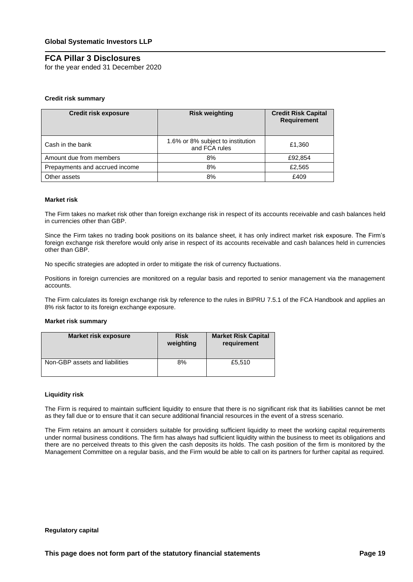for the year ended 31 December 2020

## **Credit risk summary**

| <b>Credit risk exposure</b>    | <b>Risk weighting</b>                              | <b>Credit Risk Capital</b><br><b>Requirement</b> |
|--------------------------------|----------------------------------------------------|--------------------------------------------------|
| Cash in the bank               | 1.6% or 8% subject to institution<br>and FCA rules | £1,360                                           |
| Amount due from members        | 8%                                                 | £92,854                                          |
| Prepayments and accrued income | 8%                                                 | £2,565                                           |
| Other assets                   | 8%                                                 | £409                                             |

### **Market risk**

The Firm takes no market risk other than foreign exchange risk in respect of its accounts receivable and cash balances held in currencies other than GBP.

Since the Firm takes no trading book positions on its balance sheet, it has only indirect market risk exposure. The Firm's foreign exchange risk therefore would only arise in respect of its accounts receivable and cash balances held in currencies other than GBP.

No specific strategies are adopted in order to mitigate the risk of currency fluctuations.

Positions in foreign currencies are monitored on a regular basis and reported to senior management via the management accounts.

The Firm calculates its foreign exchange risk by reference to the rules in BIPRU 7.5.1 of the FCA Handbook and applies an 8% risk factor to its foreign exchange exposure.

### **Market risk summary**

| <b>Market risk exposure</b>    | <b>Risk</b><br>weighting | <b>Market Risk Capital</b><br>requirement |
|--------------------------------|--------------------------|-------------------------------------------|
| Non-GBP assets and liabilities | 8%                       | £5,510                                    |

### **Liquidity risk**

The Firm is required to maintain sufficient liquidity to ensure that there is no significant risk that its liabilities cannot be met as they fall due or to ensure that it can secure additional financial resources in the event of a stress scenario.

The Firm retains an amount it considers suitable for providing sufficient liquidity to meet the working capital requirements under normal business conditions. The firm has always had sufficient liquidity within the business to meet its obligations and there are no perceived threats to this given the cash deposits its holds. The cash position of the firm is monitored by the Management Committee on a regular basis, and the Firm would be able to call on its partners for further capital as required.

#### **Regulatory capital**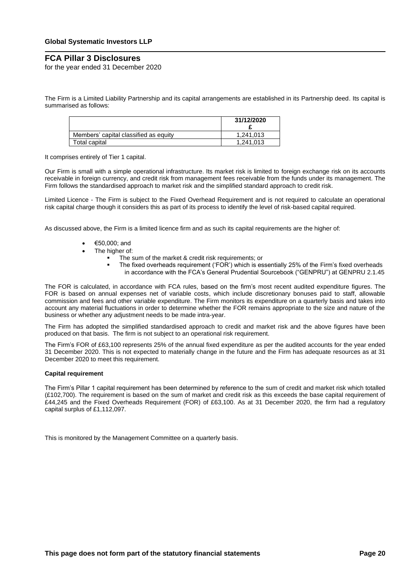for the year ended 31 December 2020

The Firm is a Limited Liability Partnership and its capital arrangements are established in its Partnership deed. Its capital is summarised as follows:

|                                       | 31/12/2020 |
|---------------------------------------|------------|
| Members' capital classified as equity | 1.241.013  |
| Total capital                         | 1.241.013  |

It comprises entirely of Tier 1 capital.

Our Firm is small with a simple operational infrastructure. Its market risk is limited to foreign exchange risk on its accounts receivable in foreign currency, and credit risk from management fees receivable from the funds under its management. The Firm follows the standardised approach to market risk and the simplified standard approach to credit risk.

Limited Licence - The Firm is subject to the Fixed Overhead Requirement and is not required to calculate an operational risk capital charge though it considers this as part of its process to identify the level of risk-based capital required.

As discussed above, the Firm is a limited licence firm and as such its capital requirements are the higher of:

- €50,000; and
- The higher of:
	- The sum of the market & credit risk requirements; or
		- The fixed overheads requirement ('FOR') which is essentially 25% of the Firm's fixed overheads in accordance with the FCA's General Prudential Sourcebook ("GENPRU") at GENPRU 2.1.45

The FOR is calculated, in accordance with FCA rules, based on the firm's most recent audited expenditure figures. The FOR is based on annual expenses net of variable costs, which include discretionary bonuses paid to staff, allowable commission and fees and other variable expenditure. The Firm monitors its expenditure on a quarterly basis and takes into account any material fluctuations in order to determine whether the FOR remains appropriate to the size and nature of the business or whether any adjustment needs to be made intra-year.

The Firm has adopted the simplified standardised approach to credit and market risk and the above figures have been produced on that basis. The firm is not subject to an operational risk requirement.

The Firm's FOR of £63,100 represents 25% of the annual fixed expenditure as per the audited accounts for the year ended 31 December 2020. This is not expected to materially change in the future and the Firm has adequate resources as at 31 December 2020 to meet this requirement.

### **Capital requirement**

The Firm's Pillar 1 capital requirement has been determined by reference to the sum of credit and market risk which totalled (£102,700). The requirement is based on the sum of market and credit risk as this exceeds the base capital requirement of £44,245 and the Fixed Overheads Requirement (FOR) of £63,100. As at 31 December 2020, the firm had a regulatory capital surplus of £1,112,097.

This is monitored by the Management Committee on a quarterly basis.